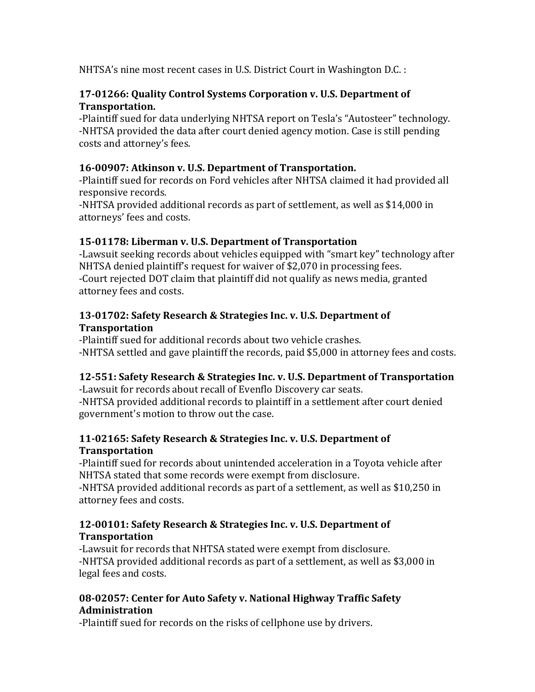NHTSA's nine most recent cases in U.S. District Court in Washington D.C. :

### **17-01266: Quality Control Systems Corporation v. U.S. Department of Transportation.**

-Plaintiff sued for data underlying NHTSA report on Tesla's "Autosteer" technology. -NHTSA provided the data after court denied agency motion. Case is still pending costs and attorney's fees.

# 16-00907: Atkinson v. U.S. Department of Transportation.

-Plaintiff sued for records on Ford vehicles after NHTSA claimed it had provided all responsive records. 

-NHTSA provided additional records as part of settlement, as well as \$14,000 in attorneys' fees and costs.

# **15-01178: Liberman v. U.S. Department of Transportation**

-Lawsuit seeking records about vehicles equipped with "smart key" technology after NHTSA denied plaintiff's request for waiver of \$2,070 in processing fees. -Court rejected DOT claim that plaintiff did not qualify as news media, granted attorney fees and costs.

### **13-01702: Safety Research & Strategies Inc. v. U.S. Department of Transportation**

-Plaintiff sued for additional records about two vehicle crashes. -NHTSA settled and gave plaintiff the records, paid \$5,000 in attorney fees and costs.

### **12-551: Safety Research & Strategies Inc. v. U.S. Department of Transportation**

-Lawsuit for records about recall of Evenflo Discovery car seats. -NHTSA provided additional records to plaintiff in a settlement after court denied government's motion to throw out the case.

#### **11-02165: Safety Research & Strategies Inc. v. U.S. Department of Transportation**

-Plaintiff sued for records about unintended acceleration in a Toyota vehicle after NHTSA stated that some records were exempt from disclosure.

-NHTSA provided additional records as part of a settlement, as well as \$10,250 in attorney fees and costs.

### **12-00101: Safety Research & Strategies Inc. v. U.S. Department of Transportation**

-Lawsuit for records that NHTSA stated were exempt from disclosure. -NHTSA provided additional records as part of a settlement, as well as \$3,000 in legal fees and costs.

### 08-02057: Center for Auto Safety v. National Highway Traffic Safety **Administration**

-Plaintiff sued for records on the risks of cellphone use by drivers.